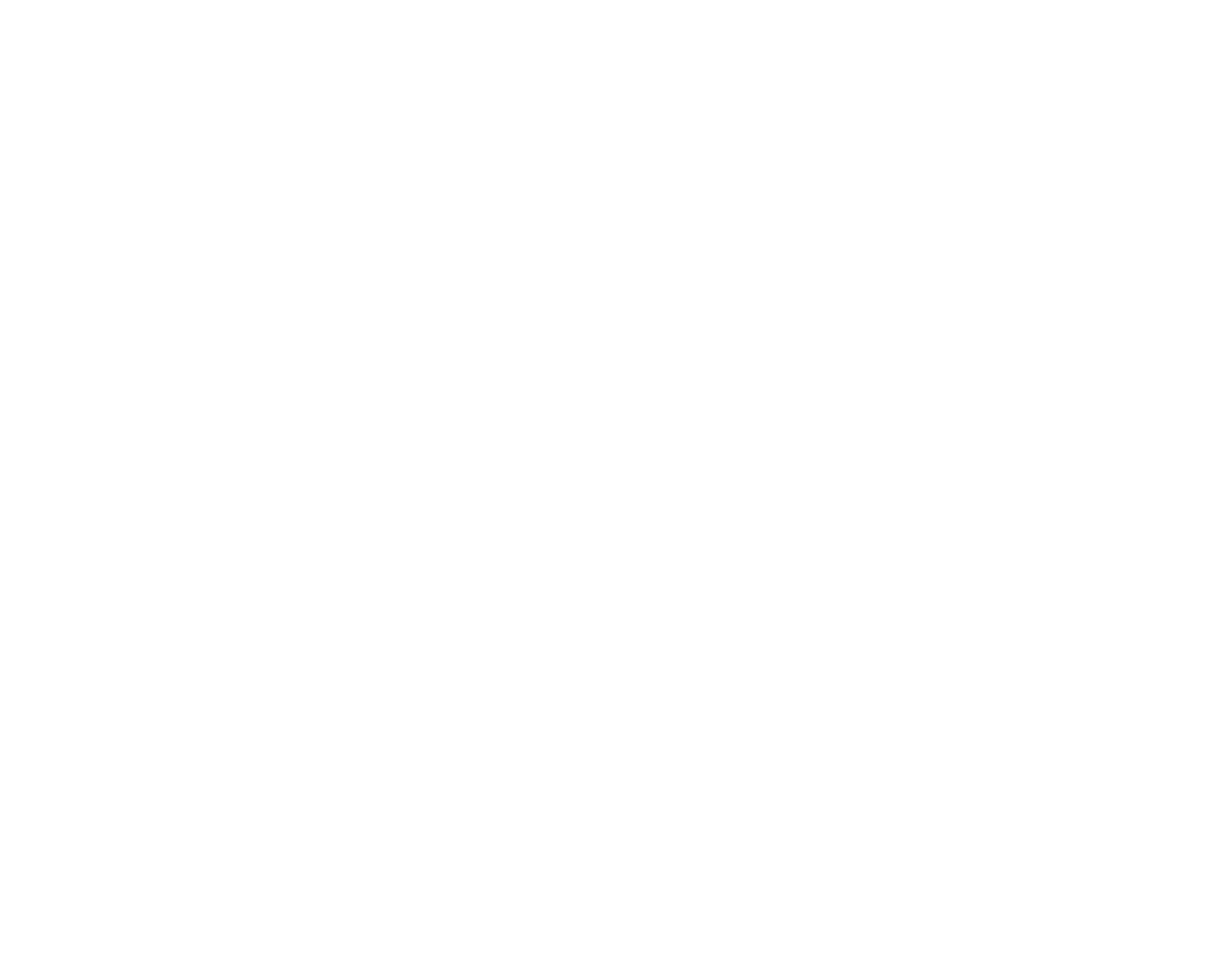## **Tips for Checking a Contractor's Background & Experience**

 $\Box$  Always ask to see a contractor's lead-based paint license or certificate.

 $\Box$  If they are not certified, ask to see a contractor's training certificate. EPA has developed training courses for lead-based paint professionals. Ask if the training received by a contractor was based on EPA course materials.

 $\Box$  Check the references of the last three lead inspections or risk assessments performed by the contractor.

 $\Box$  Ask what kinds of information will be included in the final inspection or risk assessment report that will be prepared for you. An *inspection* report should identify the lead content of the painted surfaces in your home. A *risk assessment* will provide you with information about the lead content of deteriorated painted surfaces, and also should tell you whether lead is present in dust and soil around your home. It should also present options for reducing the hazard.

To obtain information on how a lead inspection or risk assessment is conducted or a list of states with lead certification or licensing programs, contact: the National Lead Information Center at **1-800-424-LEAD**

For the **hearing impaired, call, TDD** 1-800- 526-5456. (FAX: **202-659-1192**, Internet: **EHC@NSC.ORG**).

You may also contact the EPA regional office closest to your area for additional information on state contractor certification & licensing programs:

| Region 1           | Region 2       | Region 3          |
|--------------------|----------------|-------------------|
| Boston, MA         | Edison, NJ     | Philadelphia, PA  |
| $(617) 565 - 3420$ | (908) 321-6671 | (215) 566-2084    |
| Region 4           | Region 5       | Region 6          |
| Atlanta, GA        | Chicago, IL    | Dallas, TX        |
| (404)562-8998      | (312) 886-7836 | $(214)$ 665-7577  |
| Region 7           | Region 8       | Region 9          |
| Kansas City, KS    | Denver, CO     | San Francisco, CA |
| $(913)551 - 7518$  | (303)312-6021  | (415) 744-1117    |

Region 10 Seattle, WA (206) 553-1985

EPA-747-F-96-006 November, 1996

United States **Prevention**, Pesticides Environmental Protection and Toxic Substances Agency (7404)

*Finding a Qualified Lead Professional for Your Home*